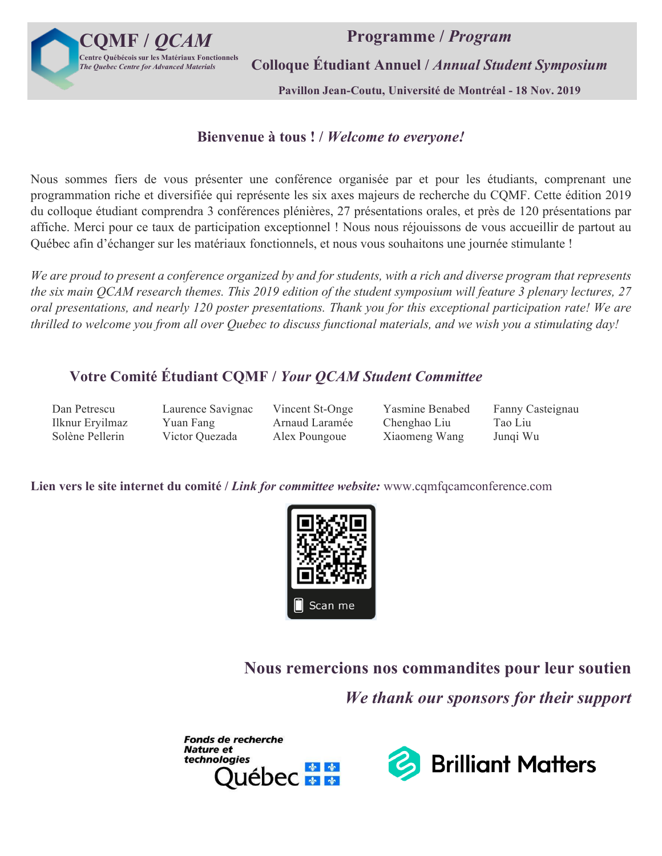

**Programme /** *Program*

**Colloque Étudiant Annuel /** *Annual Student Symposium*

**Pavillon Jean-Coutu, Université de Montréal - 18 Nov. 2019**

### **Bienvenue à tous ! /** *Welcome to everyone!*

Nous sommes fiers de vous présenter une conférence organisée par et pour les étudiants, comprenant une programmation riche et diversifiée qui représente les six axes majeurs de recherche du CQMF. Cette édition 2019 du colloque étudiant comprendra 3 conférences plénières, 27 présentations orales, et près de 120 présentations par affiche. Merci pour ce taux de participation exceptionnel ! Nous nous réjouissons de vous accueillir de partout au Québec afin d'échanger sur les matériaux fonctionnels, et nous vous souhaitons une journée stimulante !

*We are proud to present a conference organized by and for students, with a rich and diverse program that represents the six main QCAM research themes. This 2019 edition of the student symposium will feature 3 plenary lectures, 27 oral presentations, and nearly 120 poster presentations. Thank you for this exceptional participation rate! We are thrilled to welcome you from all over Quebec to discuss functional materials, and we wish you a stimulating day!*

### **Votre Comité Étudiant CQMF /** *Your QCAM Student Committee*

Ilknur Eryilmaz Yuan Fang Arnaud Laramée Chenghao Liu Tao Liu Solène Pellerin Victor Quezada Alex Poungoue Xiaomeng Wang Junqi Wu

Dan Petrescu Laurence Savignac Vincent St-Onge Yasmine Benabed Fanny Casteignau

**Lien vers le site internet du comité /** *Link for committee website:* www.cqmfqcamconference.com



**Nous remercions nos commandites pour leur soutien** 

*We thank our sponsors for their support*



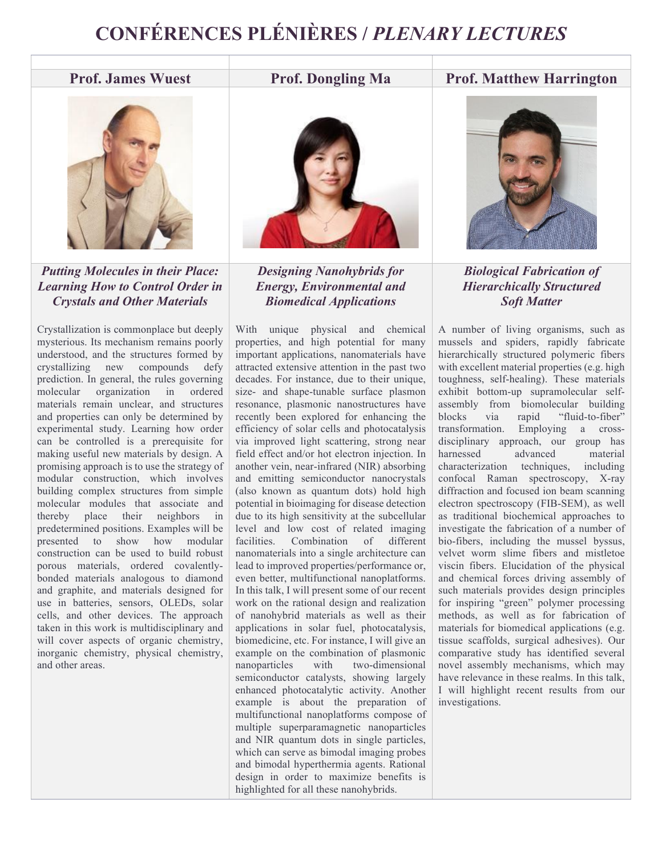# **CONFÉRENCES PLÉNIÈRES /** *PLENARY LECTURES*

### **Prof. James Wuest Prof. Dongling Ma Prof. Matthew Harrington**



*Putting Molecules in their Place: Learning How to Control Order in Crystals and Other Materials*

Crystallization is commonplace but deeply mysterious. Its mechanism remains poorly understood, and the structures formed by crystallizing new compounds defy prediction. In general, the rules governing molecular organization in ordered materials remain unclear, and structures and properties can only be determined by experimental study. Learning how order can be controlled is a prerequisite for making useful new materials by design. A promising approach is to use the strategy of modular construction, which involves building complex structures from simple molecular modules that associate and thereby place their neighbors in predetermined positions. Examples will be presented to show how modular construction can be used to build robust porous materials, ordered covalentlybonded materials analogous to diamond and graphite, and materials designed for use in batteries, sensors, OLEDs, solar cells, and other devices. The approach taken in this work is multidisciplinary and will cover aspects of organic chemistry, inorganic chemistry, physical chemistry, and other areas.



*Designing Nanohybrids for Energy, Environmental and Biomedical Applications*

With unique physical and chemical properties, and high potential for many important applications, nanomaterials have attracted extensive attention in the past two decades. For instance, due to their unique, size- and shape-tunable surface plasmon resonance, plasmonic nanostructures have recently been explored for enhancing the efficiency of solar cells and photocatalysis via improved light scattering, strong near field effect and/or hot electron injection. In another vein, near-infrared (NIR) absorbing and emitting semiconductor nanocrystals (also known as quantum dots) hold high potential in bioimaging for disease detection due to its high sensitivity at the subcellular level and low cost of related imaging facilities. Combination of different nanomaterials into a single architecture can lead to improved properties/performance or, even better, multifunctional nanoplatforms. In this talk, I will present some of our recent work on the rational design and realization of nanohybrid materials as well as their applications in solar fuel, photocatalysis, biomedicine, etc. For instance, I will give an example on the combination of plasmonic nanoparticles with two-dimensional semiconductor catalysts, showing largely enhanced photocatalytic activity. Another example is about the preparation of multifunctional nanoplatforms compose of multiple superparamagnetic nanoparticles and NIR quantum dots in single particles, which can serve as bimodal imaging probes and bimodal hyperthermia agents. Rational design in order to maximize benefits is highlighted for all these nanohybrids.



*Biological Fabrication of Hierarchically Structured Soft Matter*

A number of living organisms, such as mussels and spiders, rapidly fabricate hierarchically structured polymeric fibers with excellent material properties (e.g. high toughness, self-healing). These materials exhibit bottom-up supramolecular selfassembly from biomolecular building blocks via rapid "fluid-to-fiber" transformation. Employing a crossdisciplinary approach, our group has harnessed advanced material characterization techniques, including confocal Raman spectroscopy, X-ray diffraction and focused ion beam scanning electron spectroscopy (FIB-SEM), as well as traditional biochemical approaches to investigate the fabrication of a number of bio-fibers, including the mussel byssus, velvet worm slime fibers and mistletoe viscin fibers. Elucidation of the physical and chemical forces driving assembly of such materials provides design principles for inspiring "green" polymer processing methods, as well as for fabrication of materials for biomedical applications (e.g. tissue scaffolds, surgical adhesives). Our comparative study has identified several novel assembly mechanisms, which may have relevance in these realms. In this talk, I will highlight recent results from our investigations.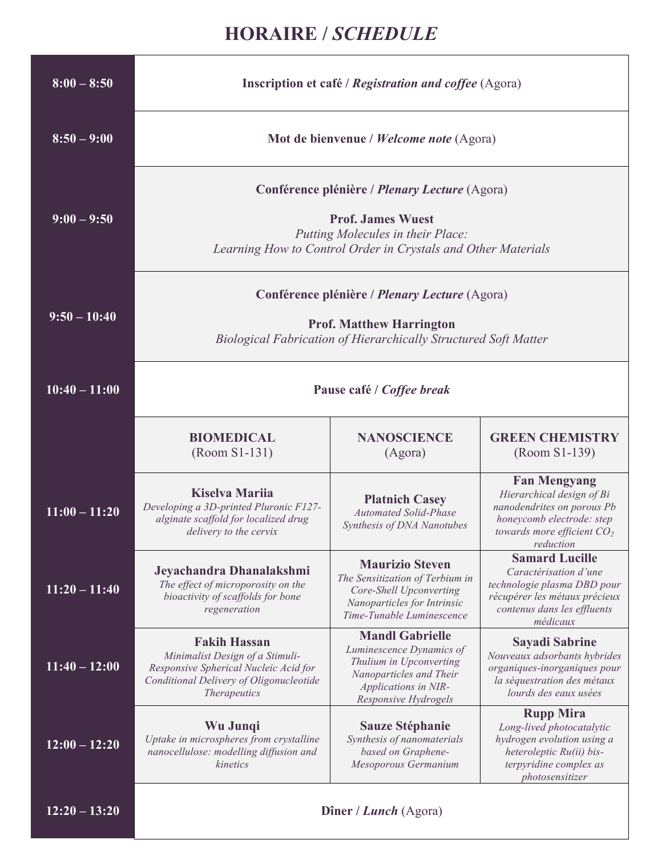## **HORAIRE /** *SCHEDULE*

| $8:00 - 8:50$   | <b>Inscription et café / Registration and coffee (Agora)</b>                                                                                                                           |                                                                                                                                                          |                                                                                                                                                           |  |
|-----------------|----------------------------------------------------------------------------------------------------------------------------------------------------------------------------------------|----------------------------------------------------------------------------------------------------------------------------------------------------------|-----------------------------------------------------------------------------------------------------------------------------------------------------------|--|
| $8:50 - 9:00$   | Mot de bienvenue / Welcome note (Agora)                                                                                                                                                |                                                                                                                                                          |                                                                                                                                                           |  |
| $9:00 - 9:50$   | Conférence plénière / <i>Plenary Lecture</i> (Agora)<br><b>Prof. James Wuest</b><br>Putting Molecules in their Place:<br>Learning How to Control Order in Crystals and Other Materials |                                                                                                                                                          |                                                                                                                                                           |  |
| $9:50 - 10:40$  | Conférence plénière / <i>Plenary Lecture</i> (Agora)<br><b>Prof. Matthew Harrington</b><br><b>Biological Fabrication of Hierarchically Structured Soft Matter</b>                      |                                                                                                                                                          |                                                                                                                                                           |  |
| $10:40 - 11:00$ | Pause café / Coffee break                                                                                                                                                              |                                                                                                                                                          |                                                                                                                                                           |  |
|                 | <b>BIOMEDICAL</b><br>(Room S1-131)                                                                                                                                                     | <b>NANOSCIENCE</b><br>(Agora)                                                                                                                            | <b>GREEN CHEMISTRY</b><br>(Room S1-139)                                                                                                                   |  |
| $11:00 - 11:20$ | <b>Kiselva Marija</b><br>Developing a 3D-printed Pluronic F127-<br>alginate scaffold for localized drug<br>delivery to the cervix                                                      | <b>Platnich Casey</b><br><b>Automated Solid-Phase</b><br>Synthesis of DNA Nanotubes                                                                      | <b>Fan Mengyang</b><br>Hierarchical design of Bi<br>nanodendrites on porous Pb<br>honeycomb electrode: step<br>towards more efficient $CO2$<br>reduction  |  |
| $11:20 - 11:40$ | Jeyachandra Dhanalakshmi<br>The effect of microporosity on the<br>bioactivity of scaffolds for bone<br>regeneration                                                                    | <b>Maurizio Steven</b><br>The Sensitization of Terbium in<br>Core-Shell Upconverting<br>Nanoparticles for Intrinsic<br>Time-Tunable Luminescence         | <b>Samard Lucille</b><br>Caractérisation d'une<br>technologie plasma DBD pour<br>récupérer les métaux précieux<br>contenus dans les effluents<br>médicaux |  |
| $11:40 - 12:00$ | <b>Fakih Hassan</b><br>Minimalist Design of a Stimuli-<br>Responsive Spherical Nucleic Acid for<br>Conditional Delivery of Oligonucleotide<br><b>Therapeutics</b>                      | <b>Mandl Gabrielle</b><br>Luminescence Dynamics of<br>Thulium in Upconverting<br>Nanoparticles and Their<br>Applications in NIR-<br>Responsive Hydrogels | <b>Sayadi Sabrine</b><br>Nouveaux adsorbants hybrides<br>organiques-inorganiques pour<br>la séquestration des métaux<br>lourds des eaux usées             |  |
| $12:00 - 12:20$ | Wu Junqi<br>Uptake in microspheres from crystalline<br>nanocellulose: modelling diffusion and<br>kinetics                                                                              | <b>Sauze Stéphanie</b><br>Synthesis of nanomaterials<br>based on Graphene-<br>Mesoporous Germanium                                                       | <b>Rupp Mira</b><br>Long-lived photocatalytic<br>hydrogen evolution using a<br>heteroleptic Ru(ii) bis-<br>terpyridine complex as<br>photosensitizer      |  |
| $12:20 - 13:20$ |                                                                                                                                                                                        | Dîner / Lunch (Agora)                                                                                                                                    |                                                                                                                                                           |  |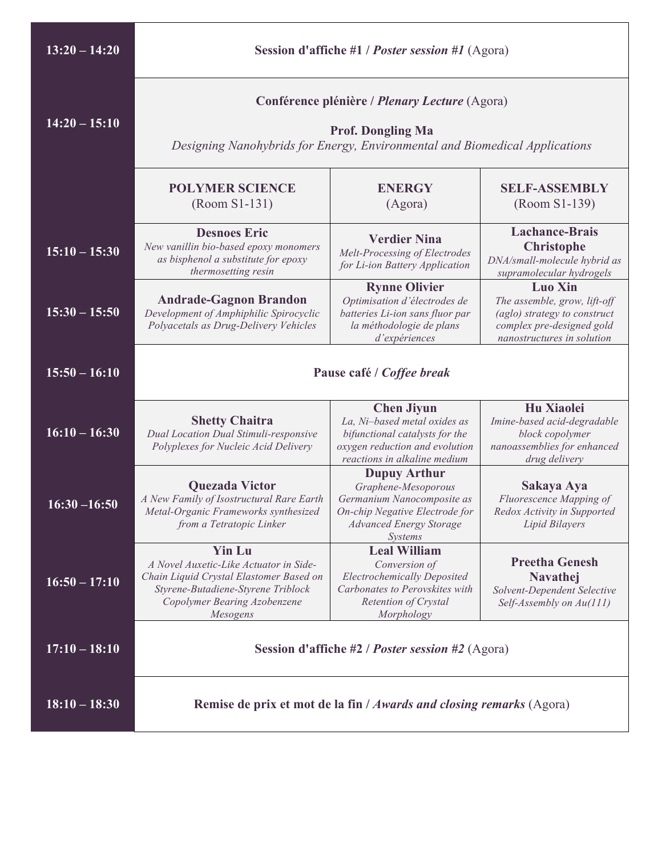| $13:20 - 14:20$ | <b>Session d'affiche #1 / Poster session #1 (Agora)</b>                                                                                                                              |                                                                                                                                                                |                                                                                                                                           |
|-----------------|--------------------------------------------------------------------------------------------------------------------------------------------------------------------------------------|----------------------------------------------------------------------------------------------------------------------------------------------------------------|-------------------------------------------------------------------------------------------------------------------------------------------|
| $14:20 - 15:10$ | Conférence plénière / <i>Plenary Lecture</i> (Agora)<br><b>Prof. Dongling Ma</b><br>Designing Nanohybrids for Energy, Environmental and Biomedical Applications                      |                                                                                                                                                                |                                                                                                                                           |
|                 | <b>POLYMER SCIENCE</b><br>(Room S1-131)                                                                                                                                              | <b>ENERGY</b><br>(Agora)                                                                                                                                       | <b>SELF-ASSEMBLY</b><br>(Room S1-139)                                                                                                     |
| $15:10 - 15:30$ | <b>Desnoes Eric</b><br>New vanillin bio-based epoxy monomers<br>as bisphenol a substitute for epoxy<br>thermosetting resin                                                           | <b>Verdier Nina</b><br>Melt-Processing of Electrodes<br>for Li-ion Battery Application                                                                         | <b>Lachance-Brais</b><br><b>Christophe</b><br>DNA/small-molecule hybrid as<br>supramolecular hydrogels                                    |
| $15:30 - 15:50$ | <b>Andrade-Gagnon Brandon</b><br>Development of Amphiphilic Spirocyclic<br>Polyacetals as Drug-Delivery Vehicles                                                                     | <b>Rynne Olivier</b><br>Optimisation d'électrodes de<br>batteries Li-ion sans fluor par<br>la méthodologie de plans<br>d'expériences                           | <b>Luo Xin</b><br>The assemble, grow, lift-off<br>(aglo) strategy to construct<br>complex pre-designed gold<br>nanostructures in solution |
| $15:50 - 16:10$ | Pause café / Coffee break                                                                                                                                                            |                                                                                                                                                                |                                                                                                                                           |
| $16:10 - 16:30$ | <b>Shetty Chaitra</b><br>Dual Location Dual Stimuli-responsive<br>Polyplexes for Nucleic Acid Delivery                                                                               | <b>Chen Jiyun</b><br>La, Ni-based metal oxides as<br>bifunctional catalysts for the<br>oxygen reduction and evolution<br>reactions in alkaline medium          | Hu Xiaolei<br>Imine-based acid-degradable<br>block copolymer<br>nanoassemblies for enhanced<br>drug delivery                              |
| $16:30 - 16:50$ | <b>Quezada Victor</b><br>A New Family of Isostructural Rare Earth<br>Metal-Organic Frameworks synthesized<br>from a Tetratopic Linker                                                | <b>Dupuy Arthur</b><br>Graphene-Mesoporous<br>Germanium Nanocomposite as<br>On-chip Negative Electrode for<br><b>Advanced Energy Storage</b><br><i>Systems</i> | Sakaya Aya<br>Fluorescence Mapping of<br>Redox Activity in Supported<br>Lipid Bilayers                                                    |
| $16:50 - 17:10$ | <b>Yin Lu</b><br>A Novel Auxetic-Like Actuator in Side-<br>Chain Liquid Crystal Elastomer Based on<br>Styrene-Butadiene-Styrene Triblock<br>Copolymer Bearing Azobenzene<br>Mesogens | <b>Leal William</b><br>Conversion of<br><b>Electrochemically Deposited</b><br>Carbonates to Perovskites with<br>Retention of Crystal<br>Morphology             | <b>Preetha Genesh</b><br><b>Navathej</b><br>Solvent-Dependent Selective<br>Self-Assembly on Au(111)                                       |
| $17:10 - 18:10$ | <b>Session d'affiche #2 / Poster session #2 (Agora)</b>                                                                                                                              |                                                                                                                                                                |                                                                                                                                           |
| $18:10 - 18:30$ | Remise de prix et mot de la fin / Awards and closing remarks (Agora)                                                                                                                 |                                                                                                                                                                |                                                                                                                                           |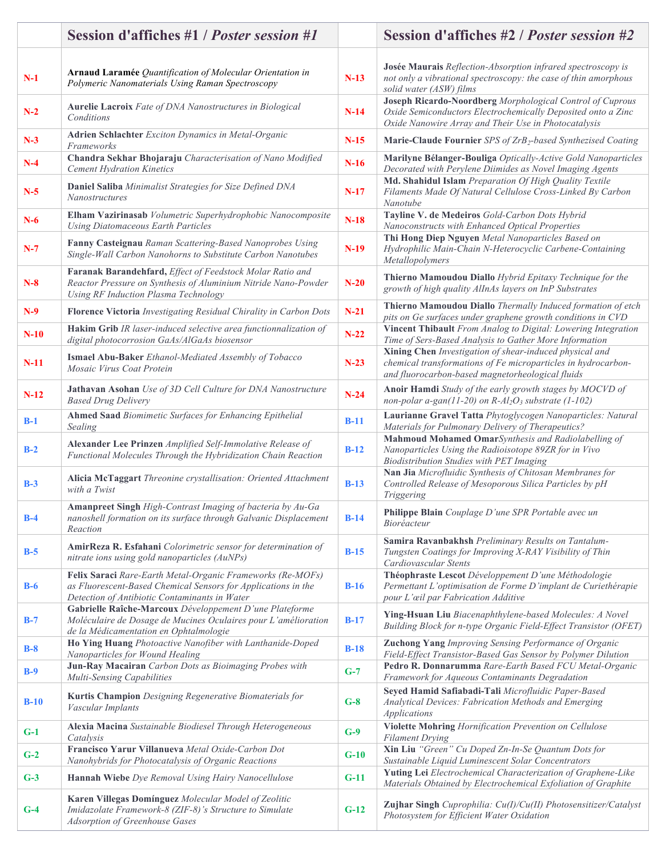|        | Session d'affiches #1 / <i>Poster session</i> #1                                                                                                                             |        | <b>Session d'affiches #2 / Poster session #2</b>                                                                                                                                  |
|--------|------------------------------------------------------------------------------------------------------------------------------------------------------------------------------|--------|-----------------------------------------------------------------------------------------------------------------------------------------------------------------------------------|
| $N-1$  | Arnaud Laramée Quantification of Molecular Orientation in<br>Polymeric Nanomaterials Using Raman Spectroscopy                                                                | $N-13$ | Josée Maurais Reflection-Absorption infrared spectroscopy is<br>not only a vibrational spectroscopy: the case of thin amorphous<br>solid water (ASW) films                        |
| $N-2$  | Aurelie Lacroix Fate of DNA Nanostructures in Biological<br>Conditions                                                                                                       | $N-14$ | Joseph Ricardo-Noordberg Morphological Control of Cuprous<br>Oxide Semiconductors Electrochemically Deposited onto a Zinc<br>Oxide Nanowire Array and Their Use in Photocatalysis |
| $N-3$  | Adrien Schlachter Exciton Dynamics in Metal-Organic<br>Frameworks                                                                                                            | $N-15$ | Marie-Claude Fournier SPS of ZrB <sub>2</sub> -based Synthezised Coating                                                                                                          |
| $N-4$  | Chandra Sekhar Bhojaraju Characterisation of Nano Modified<br><b>Cement Hydration Kinetics</b>                                                                               | $N-16$ | Marilyne Bélanger-Bouliga Optically-Active Gold Nanoparticles<br>Decorated with Perylene Diimides as Novel Imaging Agents                                                         |
| $N-5$  | Daniel Saliba Minimalist Strategies for Size Defined DNA<br>Nanostructures                                                                                                   | $N-17$ | Md. Shahidul Islam Preparation Of High Quality Textile<br>Filaments Made Of Natural Cellulose Cross-Linked By Carbon<br>Nanotube                                                  |
| $N-6$  | Elham Vazirinasab Volumetric Superhydrophobic Nanocomposite<br><b>Using Diatomaceous Earth Particles</b>                                                                     | $N-18$ | Tayline V. de Medeiros Gold-Carbon Dots Hybrid<br>Nanoconstructs with Enhanced Optical Properties                                                                                 |
| $N-7$  | Fanny Casteignau Raman Scattering-Based Nanoprobes Using<br>Single-Wall Carbon Nanohorns to Substitute Carbon Nanotubes                                                      | $N-19$ | Thi Hong Diep Nguyen Metal Nanoparticles Based on<br>Hydrophilic Main-Chain N-Heterocyclic Carbene-Containing<br>Metallopolymers                                                  |
| $N-8$  | Faranak Barandehfard, Effect of Feedstock Molar Ratio and<br>Reactor Pressure on Synthesis of Aluminium Nitride Nano-Powder<br>Using RF Induction Plasma Technology          | $N-20$ | Thierno Mamoudou Diallo Hybrid Epitaxy Technique for the<br>growth of high quality AlInAs layers on InP Substrates                                                                |
| $N-9$  | Florence Victoria Investigating Residual Chirality in Carbon Dots                                                                                                            | $N-21$ | Thierno Mamoudou Diallo Thermally Induced formation of etch<br>pits on Ge surfaces under graphene growth conditions in CVD                                                        |
| $N-10$ | Hakim Grib IR laser-induced selective area functionnalization of<br>digital photocorrosion GaAs/AlGaAs biosensor                                                             | $N-22$ | Vincent Thibault From Analog to Digital: Lowering Integration<br>Time of Sers-Based Analysis to Gather More Information                                                           |
| $N-11$ | Ismael Abu-Baker Ethanol-Mediated Assembly of Tobacco<br>Mosaic Virus Coat Protein                                                                                           | $N-23$ | Xining Chen Investigation of shear-induced physical and<br>chemical transformations of Fe microparticles in hydrocarbon-<br>and fluorocarbon-based magnetorheological fluids      |
| $N-12$ | Jathavan Asohan Use of 3D Cell Culture for DNA Nanostructure<br><b>Based Drug Delivery</b>                                                                                   | $N-24$ | Anoir Hamdi Study of the early growth stages by MOCVD of<br>non-polar a-gan(11-20) on $R-Al_2O_3$ substrate (1-102)                                                               |
| $B-1$  | Ahmed Saad Biomimetic Surfaces for Enhancing Epithelial<br>Sealing                                                                                                           | $B-11$ | Laurianne Gravel Tatta Phytoglycogen Nanoparticles: Natural<br>Materials for Pulmonary Delivery of Therapeutics?                                                                  |
| $B-2$  | Alexander Lee Prinzen Amplified Self-Immolative Release of<br>Functional Molecules Through the Hybridization Chain Reaction                                                  | $B-12$ | Mahmoud Mohamed OmarSynthesis and Radiolabelling of<br>Nanoparticles Using the Radioisotope 89ZR for in Vivo<br><b>Biodistribution Studies with PET Imaging</b>                   |
| $B-3$  | Alicia McTaggart Threonine crystallisation: Oriented Attachment<br>with a Twist                                                                                              | $B-13$ | Nan Jia Microfluidic Synthesis of Chitosan Membranes for<br>Controlled Release of Mesoporous Silica Particles by pH<br>Triggering                                                 |
| $B-4$  | Amanpreet Singh High-Contrast Imaging of bacteria by Au-Ga<br>nanoshell formation on its surface through Galvanic Displacement<br>Reaction                                   | $B-14$ | Philippe Blain Couplage D'une SPR Portable avec un<br><i>Bioréacteur</i>                                                                                                          |
| $B-5$  | AmirReza R. Esfahani Colorimetric sensor for determination of<br>nitrate ions using gold nanoparticles (AuNPs)                                                               | $B-15$ | Samira Ravanbakhsh Preliminary Results on Tantalum-<br>Tungsten Coatings for Improving X-RAY Visibility of Thin<br>Cardiovascular Stents                                          |
| $B-6$  | Felix Saraci Rare-Earth Metal-Organic Frameworks (Re-MOFs)<br>as Fluorescent-Based Chemical Sensors for Applications in the<br>Detection of Antibiotic Contaminants in Water | $B-16$ | Théophraste Lescot Développement D'une Méthodologie<br>Permettant L'optimisation de Forme D'implant de Curiethérapie<br>pour L'œil par Fabrication Additive                       |
| $B-7$  | Gabrielle Raîche-Marcoux Développement D'une Plateforme<br>Moléculaire de Dosage de Mucines Oculaires pour L'amélioration<br>de la Médicamentation en Ophtalmologie          | $B-17$ | Ying-Hsuan Liu Biacenaphthylene-based Molecules: A Novel<br>Building Block for n-type Organic Field-Effect Transistor (OFET)                                                      |
| $B-8$  | Ho Ying Huang Photoactive Nanofiber with Lanthanide-Doped<br>Nanoparticles for Wound Healing                                                                                 | $B-18$ | <b>Zuchong Yang Improving Sensing Performance of Organic</b><br>Field-Effect Transistor-Based Gas Sensor by Polymer Dilution                                                      |
| $B-9$  | Jun-Ray Macairan Carbon Dots as Bioimaging Probes with<br>Multi-Sensing Capabilities                                                                                         | $G-7$  | Pedro R. Donnarumma Rare-Earth Based FCU Metal-Organic<br>Framework for Aqueous Contaminants Degradation                                                                          |
| $B-10$ | Kurtis Champion Designing Regenerative Biomaterials for<br>Vascular Implants                                                                                                 | $G-8$  | Seyed Hamid Safiabadi-Tali Microfluidic Paper-Based<br>Analytical Devices: Fabrication Methods and Emerging<br>Applications                                                       |
| $G-1$  | Alexia Macina Sustainable Biodiesel Through Heterogeneous<br>Catalysis                                                                                                       | $G-9$  | Violette Mohring Hornification Prevention on Cellulose<br><b>Filament Drying</b>                                                                                                  |
| $G-2$  | Francisco Yarur Villanueva Metal Oxide-Carbon Dot<br>Nanohybrids for Photocatalysis of Organic Reactions                                                                     | $G-10$ | Xin Liu "Green" Cu Doped Zn-In-Se Quantum Dots for<br>Sustainable Liquid Luminescent Solar Concentrators                                                                          |
| $G-3$  | Hannah Wiebe Dye Removal Using Hairy Nanocellulose                                                                                                                           | $G-11$ | Yuting Lei Electrochemical Characterization of Graphene-Like<br>Materials Obtained by Electrochemical Exfoliation of Graphite                                                     |
| $G-4$  | Karen Villegas Domínguez Molecular Model of Zeolitic<br>Imidazolate Framework-8 (ZIF-8)'s Structure to Simulate<br>Adsorption of Greenhouse Gases                            | $G-12$ | Zujhar Singh Cuprophilia: Cu(I)/Cu(II) Photosensitizer/Catalyst<br>Photosystem for Efficient Water Oxidation                                                                      |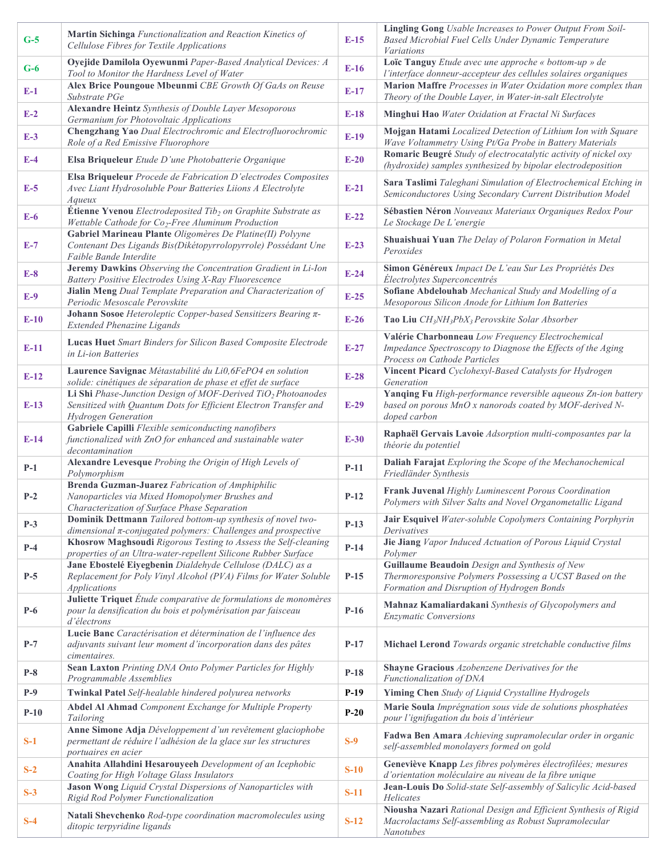| $G-5$  | Martin Sichinga Functionalization and Reaction Kinetics of<br>Cellulose Fibres for Textile Applications                                                             | $E-15$ | <b>Lingling Gong</b> Usable Increases to Power Output From Soil-<br>Based Microbial Fuel Cells Under Dynamic Temperature<br>Variations                   |
|--------|---------------------------------------------------------------------------------------------------------------------------------------------------------------------|--------|----------------------------------------------------------------------------------------------------------------------------------------------------------|
| $G-6$  | Oyejide Damilola Oyewunmi Paper-Based Analytical Devices: A<br>Tool to Monitor the Hardness Level of Water                                                          | $E-16$ | Loïc Tanguy Etude avec une approche « bottom-up » de<br>l'interface donneur-accepteur des cellules solaires organiques                                   |
| $E-1$  | Alex Brice Poungoue Mbeunmi CBE Growth Of GaAs on Reuse<br>Substrate PGe                                                                                            | $E-17$ | Marion Maffre Processes in Water Oxidation more complex than<br>Theory of the Double Layer, in Water-in-salt Electrolyte                                 |
| $E-2$  | Alexandre Heintz Synthesis of Double Layer Mesoporous<br>Germanium for Photovoltaic Applications                                                                    | $E-18$ | Minghui Hao Water Oxidation at Fractal Ni Surfaces                                                                                                       |
| $E-3$  | Chengzhang Yao Dual Electrochromic and Electrofluorochromic<br>Role of a Red Emissive Fluorophore                                                                   | $E-19$ | Mojgan Hatami Localized Detection of Lithium Ion with Square<br>Wave Voltammetry Using Pt/Ga Probe in Battery Materials                                  |
| $E-4$  | Elsa Briqueleur Etude D'une Photobatterie Organique                                                                                                                 | $E-20$ | Romaric Beugré Study of electrocatalytic activity of nickel oxy<br>(hydroxide) samples synthesized by bipolar electrodeposition                          |
| $E-5$  | Elsa Briqueleur Procede de Fabrication D'electrodes Composites<br>Avec Liant Hydrosoluble Pour Batteries Liions A Electrolyte<br>Aqueux                             | $E-21$ | Sara Taslimi Taleghani Simulation of Electrochemical Etching in<br>Semiconductores Using Secondary Current Distribution Model                            |
| $E-6$  | <b>Étienne Yvenou</b> Electrodeposited $Tib_2$ on Graphite Substrate as<br>Wettable Cathode for Co <sub>2</sub> -Free Aluminum Production                           | $E-22$ | Sébastien Néron Nouveaux Materiaux Organiques Redox Pour<br>Le Stockage De L'energie                                                                     |
| $E-7$  | Gabriel Marineau Plante Oligomères De Platine(II) Polyyne<br>Contenant Des Ligands Bis(Dikétopyrrolopyrrole) Possédant Une<br>Faible Bande Interdite                | $E-23$ | Shuaishuai Yuan The Delay of Polaron Formation in Metal<br>Peroxides                                                                                     |
| $E-8$  | Jeremy Dawkins Observing the Concentration Gradient in Li-Ion<br>Battery Positive Electrodes Using X-Ray Fluorescence                                               | $E-24$ | Simon Généreux Impact De L'eau Sur Les Propriétés Des<br>Électrolytes Superconcentrés                                                                    |
| $E-9$  | Jialin Meng Dual Template Preparation and Characterization of<br>Periodic Mesoscale Perovskite                                                                      | $E-25$ | Sofiane Abdelouhab Mechanical Study and Modelling of a<br>Mesoporous Silicon Anode for Lithium Ion Batteries                                             |
| $E-10$ | Johann Sosoe Heteroleptic Copper-based Sensitizers Bearing $\pi$ -<br><b>Extended Phenazine Ligands</b>                                                             | $E-26$ | Tao Liu CH <sub>3</sub> NH <sub>3</sub> PbX <sub>3</sub> Perovskite Solar Absorber                                                                       |
| $E-11$ | Lucas Huet Smart Binders for Silicon Based Composite Electrode<br>in Li-ion Batteries                                                                               | $E-27$ | Valérie Charbonneau Low Frequency Electrochemical<br>Impedance Spectroscopy to Diagnose the Effects of the Aging<br>Process on Cathode Particles         |
| $E-12$ | Laurence Savignac Métastabilité du Li0,6FePO4 en solution<br>solide: cinétiques de séparation de phase et effet de surface                                          | $E-28$ | Vincent Picard Cyclohexyl-Based Catalysts for Hydrogen<br>Generation                                                                                     |
| $E-13$ | Li Shi Phase-Junction Design of MOF-Derived TiO <sub>2</sub> Photoanodes<br>Sensitized with Quantum Dots for Efficient Electron Transfer and<br>Hydrogen Generation | $E-29$ | Yanqing Fu High-performance reversible aqueous Zn-ion battery<br>based on porous MnO x nanorods coated by MOF-derived N-<br>doped carbon                 |
| $E-14$ | Gabriele Capilli Flexible semiconducting nanofibers<br>functionalized with ZnO for enhanced and sustainable water<br>decontamination                                | $E-30$ | Raphaël Gervais Lavoie Adsorption multi-composantes par la<br>théorie du potentiel                                                                       |
| $P-1$  | Alexandre Levesque Probing the Origin of High Levels of<br>Polymorphism                                                                                             | $P-11$ | Daliah Farajat Exploring the Scope of the Mechanochemical<br>Friedländer Synthesis                                                                       |
| $P-2$  | <b>Brenda Guzman-Juarez</b> Fabrication of Amphiphilic<br>Nanoparticles via Mixed Homopolymer Brushes and<br>Characterization of Surface Phase Separation           | $P-12$ | Frank Juvenal Highly Luminescent Porous Coordination<br>Polymers with Silver Salts and Novel Organometallic Ligand                                       |
| $P-3$  | Dominik Dettmann Tailored bottom-up synthesis of novel two-<br>dimensional $\pi$ -conjugated polymers: Challenges and prospective                                   | $P-13$ | Jair Esquivel Water-soluble Copolymers Containing Porphyrin<br>Derivatives                                                                               |
| $P-4$  | Khosrow Maghsoudi Rigorous Testing to Assess the Self-cleaning<br>properties of an Ultra-water-repellent Silicone Rubber Surface                                    | $P-14$ | Jie Jiang Vapor Induced Actuation of Porous Liquid Crystal<br>Polymer                                                                                    |
| $P-5$  | Jane Ebostelé Eiyegbenin Dialdehyde Cellulose (DALC) as a<br>Replacement for Poly Vinyl Alcohol (PVA) Films for Water Soluble<br><i>Applications</i>                | $P-15$ | Guillaume Beaudoin Design and Synthesis of New<br>Thermoresponsive Polymers Possessing a UCST Based on the<br>Formation and Disruption of Hydrogen Bonds |
| $P-6$  | Juliette Triquet Étude comparative de formulations de monomères<br>pour la densification du bois et polymérisation par faisceau<br>d'électrons                      | $P-16$ | Mahnaz Kamaliardakani Synthesis of Glycopolymers and<br><b>Enzymatic Conversions</b>                                                                     |
| $P-7$  | Lucie Banc Caractérisation et détermination de l'influence des<br>adjuvants suivant leur moment d'incorporation dans des pâtes<br>cimentaires.                      | $P-17$ | Michael Lerond Towards organic stretchable conductive films                                                                                              |
| $P-8$  | Sean Laxton Printing DNA Onto Polymer Particles for Highly<br>Programmable Assemblies                                                                               | $P-18$ | Shayne Gracious Azobenzene Derivatives for the<br>Functionalization of DNA                                                                               |
| $P-9$  | Twinkal Patel Self-healable hindered polyurea networks                                                                                                              | $P-19$ | Yiming Chen Study of Liquid Crystalline Hydrogels                                                                                                        |
| $P-10$ | Abdel Al Ahmad Component Exchange for Multiple Property<br>Tailoring                                                                                                | $P-20$ | Marie Soula Imprégnation sous vide de solutions phosphatées<br>pour l'ignifugation du bois d'intérieur                                                   |
| $S-1$  | Anne Simone Adja Développement d'un revêtement glaciophobe<br>permettant de réduire l'adhésion de la glace sur les structures<br>portuaires en acier                | $S-9$  | Fadwa Ben Amara Achieving supramolecular order in organic<br>self-assembled monolayers formed on gold                                                    |
| $S-2$  | Anahita Allahdini Hesarouyeeh Development of an Icephobic<br>Coating for High Voltage Glass Insulators                                                              | $S-10$ | Geneviève Knapp Les fibres polymères électrofilées; mesures<br>d'orientation moléculaire au niveau de la fibre unique                                    |
| $S-3$  | Jason Wong Liquid Crystal Dispersions of Nanoparticles with<br>Rigid Rod Polymer Functionalization                                                                  | $S-11$ | Jean-Louis Do Solid-state Self-assembly of Salicylic Acid-based<br>Helicates                                                                             |
| $S-4$  | Natali Shevchenko Rod-type coordination macromolecules using<br>ditopic terpyridine ligands                                                                         | $S-12$ | Niousha Nazari Rational Design and Efficient Synthesis of Rigid<br>Macrolactams Self-assembling as Robust Supramolecular<br>Nanotubes                    |